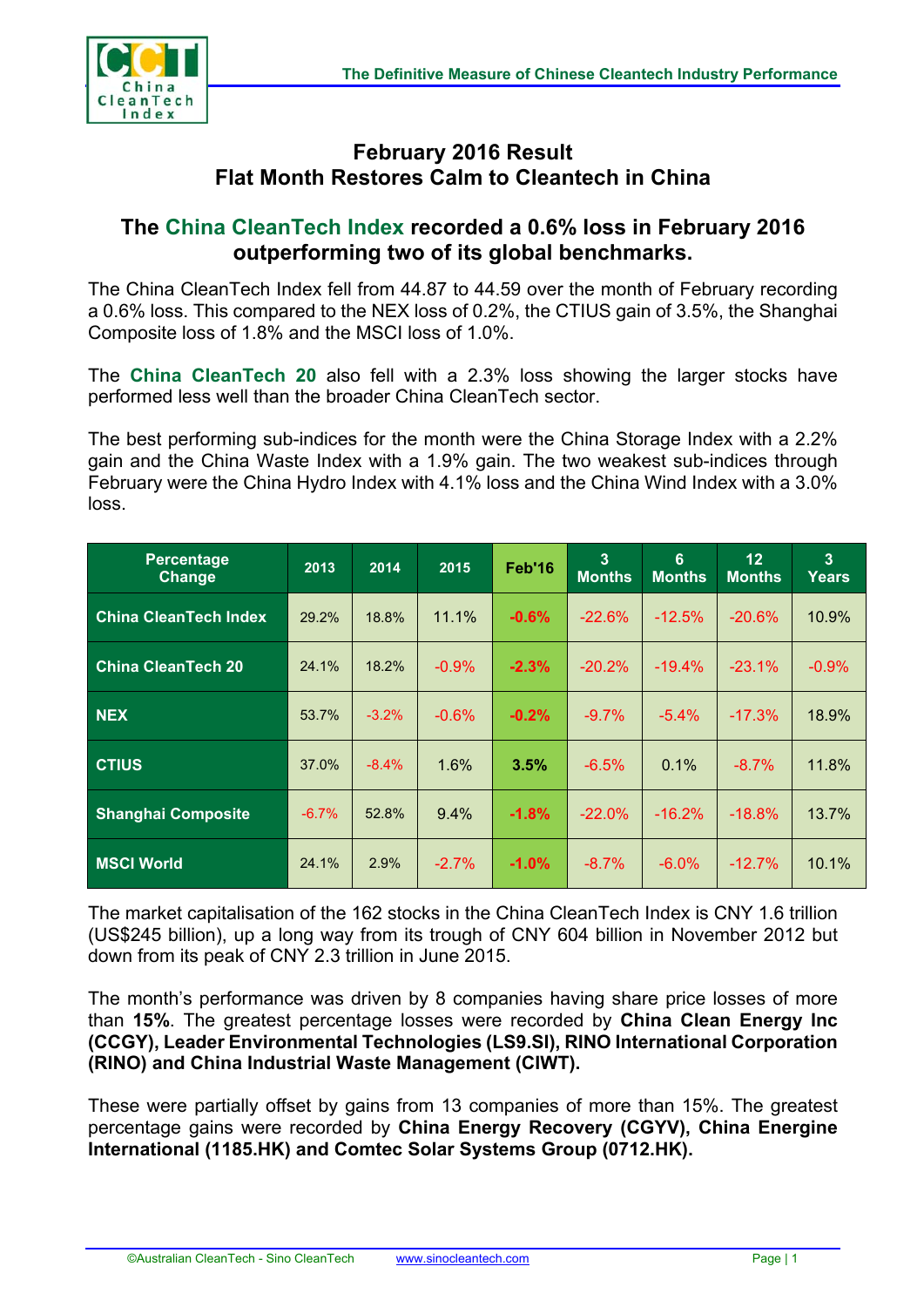

## **February 2016 Result Flat Month Restores Calm to Cleantech in China**

## **The China CleanTech Index recorded a 0.6% loss in February 2016 outperforming two of its global benchmarks.**

The China CleanTech Index fell from 44.87 to 44.59 over the month of February recording a 0.6% loss. This compared to the NEX loss of 0.2%, the CTIUS gain of 3.5%, the Shanghai Composite loss of 1.8% and the MSCI loss of 1.0%.

The **China CleanTech 20** also fell with a 2.3% loss showing the larger stocks have performed less well than the broader China CleanTech sector.

The best performing sub-indices for the month were the China Storage Index with a 2.2% gain and the China Waste Index with a 1.9% gain. The two weakest sub-indices through February were the China Hydro Index with 4.1% loss and the China Wind Index with a 3.0% loss.

| <b>Percentage</b><br><b>Change</b> | 2013    | 2014    | 2015     | Feb'16   | 3<br><b>Months</b> | 6<br><b>Months</b> | 12<br><b>Months</b> | $\overline{3}$<br><b>Years</b> |
|------------------------------------|---------|---------|----------|----------|--------------------|--------------------|---------------------|--------------------------------|
| <b>China CleanTech Index</b>       | 29.2%   | 18.8%   | 11.1%    | $-0.6%$  | $-22.6%$           | $-12.5%$           | $-20.6%$            | 10.9%                          |
| <b>China CleanTech 20</b>          | 24.1%   | 18.2%   | $-0.9%$  | $-2.3%$  | $-20.2%$           | $-19.4%$           | $-23.1%$            | $-0.9%$                        |
| <b>NEX</b>                         | 53.7%   | $-3.2%$ | $-0.6\%$ | $-0.2%$  | $-9.7\%$           | $-5.4\%$           | $-17.3%$            | 18.9%                          |
| <b>CTIUS</b>                       | 37.0%   | $-8.4%$ | 1.6%     | 3.5%     | $-6.5%$            | 0.1%               | $-8.7\%$            | 11.8%                          |
| <b>Shanghai Composite</b>          | $-6.7%$ | 52.8%   | 9.4%     | $-1.8%$  | $-22.0%$           | $-16.2%$           | $-18.8%$            | 13.7%                          |
| <b>MSCI World</b>                  | 24.1%   | 2.9%    | $-2.7\%$ | $-1.0\%$ | $-8.7\%$           | $-6.0\%$           | $-12.7%$            | 10.1%                          |

The market capitalisation of the 162 stocks in the China CleanTech Index is CNY 1.6 trillion (US\$245 billion), up a long way from its trough of CNY 604 billion in November 2012 but down from its peak of CNY 2.3 trillion in June 2015.

The month's performance was driven by 8 companies having share price losses of more than **15%**. The greatest percentage losses were recorded by **China Clean Energy Inc (CCGY), Leader Environmental Technologies (LS9.SI), RINO International Corporation (RINO) and China Industrial Waste Management (CIWT).**

These were partially offset by gains from 13 companies of more than 15%. The greatest percentage gains were recorded by **China Energy Recovery (CGYV), China Energine International (1185.HK) and Comtec Solar Systems Group (0712.HK).**